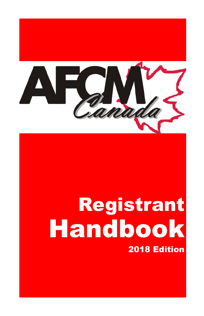

I

I

# Registrant Handbook 2018 Edition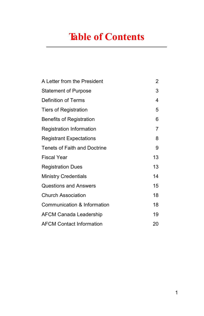# **Table of Contents**

| A Letter from the President     | 2  |
|---------------------------------|----|
| <b>Statement of Purpose</b>     | 3  |
| Definition of Terms             | 4  |
| <b>Tiers of Registration</b>    | 5  |
| <b>Benefits of Registration</b> | 6  |
| Registration Information        | 7  |
| <b>Registrant Expectations</b>  | 8  |
| Tenets of Faith and Doctrine    | 9  |
| <b>Fiscal Year</b>              | 13 |
| <b>Registration Dues</b>        | 13 |
| <b>Ministry Credentials</b>     | 14 |
| Questions and Answers           | 15 |
| <b>Church Association</b>       | 18 |
| Communication & Information     | 18 |
| <b>AFCM Canada Leadership</b>   | 19 |
| <b>AFCM Contact Information</b> | 20 |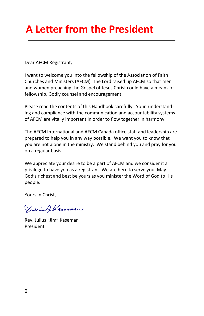# **A Letter from the President**

Dear AFCM Registrant,

I want to welcome you into the fellowship of the Association of Faith Churches and Ministers (AFCM). The Lord raised up AFCM so that men and women preaching the Gospel of Jesus Christ could have a means of fellowship, Godly counsel and encouragement.

Please read the contents of this Handbook carefully. Your understanding and compliance with the communication and accountability systems of AFCM are vitally important in order to flow together in harmony.

The AFCM International and AFCM Canada office staff and leadership are prepared to help you in any way possible. We want you to know that you are not alone in the ministry. We stand behind you and pray for you on a regular basis.

We appreciate your desire to be a part of AFCM and we consider it a privilege to have you as a registrant. We are here to serve you. May God's richest and best be yours as you minister the Word of God to His people.

Yours in Christ,

Vilini Wereman

Rev. Julius "Jim" Kaseman President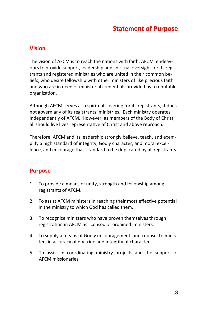#### **Vision**

The vision of AFCM is to reach the nations with faith. AFCM endeavours to provide support, leadership and spiritual oversight for its registrants and registered ministries who are united in their common beliefs, who desire fellowship with other ministers of like precious faith and who are in need of ministerial credentials provided by a reputable organization.

Although AFCM serves as a spiritual covering for its registrants, it does not govern any of its registrants' ministries. Each ministry operates independently of AFCM. However, as members of the Body of Christ, all should live lives representative of Christ and above reproach.

Therefore, AFCM and its leadership strongly believe, teach, and exemplify a high standard of integrity, Godly character, and moral excellence, and encourage that standard to be duplicated by all registrants.

### **Purpose**

- 1. To provide a means of unity, strength and fellowship among registrants of AFCM.
- 2. To assist AFCM ministers in reaching their most effective potential in the ministry to which God has called them.
- 3. To recognize ministers who have proven themselves through registration in AFCM as licensed or ordained ministers.
- 4. To supply a means of Godly encouragement and counsel to ministers in accuracy of doctrine and integrity of character.
- 5. To assist in coordinating ministry projects and the support of AFCM missionaries.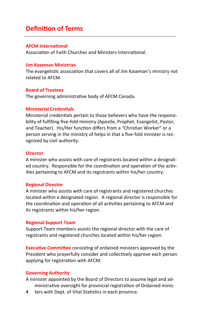# **Definition of Terms**

#### **AFCM International**

Association of Faith Churches and Ministers International.

#### **Jim Kaseman Ministries**

The evangelistic association that covers all of Jim Kaseman's ministry not related to AFCM.

#### **Board of Trustees**

The governing administrative body of AFCM Canada.

#### **Ministerial Credentials**

Ministerial credentials pertain to those believers who have the responsibility of fulfilling five-fold ministry (Apostle, Prophet, Evangelist, Pastor, and Teacher). His/Her function differs from a "Christian Worker" or a person serving in the ministry of helps in that a five-fold minister is recognized by civil authority.

#### **Director**

A minister who assists with care of registrants located within a designated country. Responsible for the coordination and operation of the activities pertaining to AFCM and its registrants within his/her country.

#### **Regional Director**

A minister who assists with care of registrants and registered churches located within a designated region. A regional director is responsible for the coordination and operation of all activities pertaining to AFCM and its registrants within his/her region.

#### **Regional Support Team**

Support Team members assists the regional director with the care of registrants and registered churches located within his/her region.

**Executive Committee** consisting of ordained ministers approved by the President who prayerfully consider and collectively approve each person applying for registration with AFCM.

#### **Governing Authority**

A minister appointed by the Board of Directors to assume legal and administrative oversight for provincial registration of Ordained minis-

4 ters with Dept. of Vital Statistics in each province.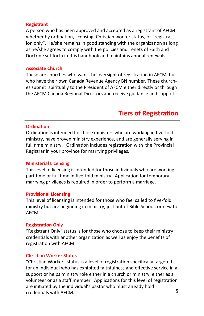#### **Registrant**

A person who has been approved and accepted as a registrant of AFCM whether by ordination, licensing, Christian worker status, or "registration only". He/she remains in good standing with the organization as long as he/she agrees to comply with the policies and Tenets of Faith and Doctrine set forth in this handbook and maintains annual renewals.

#### **Associate Church**

These are churches who want the oversight of registration in AFCM, but who have their own Canada Revenue Agency BN number. These churches submit spiritually to the President of AFCM either directly or through the AFCM Canada Regional Directors and receive guidance and support.

# **Tiers of Registration**

#### **Ordination**

Ordination is intended for those ministers who are working in five-fold ministry, have proven ministry experience, and are generally serving in full time ministry. Ordination includes registration with the Provincial Registrar in your province for marrying privileges.

#### **Ministerial Licensing**

This level of licensing is intended for those individuals who are working part time or full time in five-fold ministry. Application for temporary marrying privileges is required in order to perform a marriage.

#### **Provisional Licensing**

This level of licensing is intended for those who feel called to five-fold ministry but are beginning in ministry, just out of Bible School, or new to AFCM.

#### **Registration Only**

"Registrant Only" status is for those who choose to keep their ministry credentials with another organization as well as enjoy the benefits of registration with AFCM.

#### **Christian Worker Status**

"Christian Worker" status is a level of registration specifically targeted for an individual who has exhibited faithfulness and effective service in a support or helps ministry role either in a church or ministry, either as a volunteer or as a staff member. Applications for this level of registration are initiated by the individual's pastor who must already hold credentials with AFCM. 5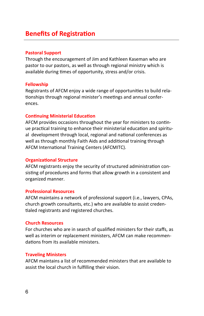# **Benefits of Registration**

#### **Pastoral Support**

Through the encouragement of Jim and Kathleen Kaseman who are pastor to our pastors, as well as through regional ministry which is available during times of opportunity, stress and/or crisis.

#### **Fellowship**

Registrants of AFCM enjoy a wide range of opportunities to build relationships through regional minister's meetings and annual conferences.

#### **Continuing Ministerial Education**

AFCM provides occasions throughout the year for ministers to continue practical training to enhance their ministerial education and spiritual development through local, regional and national conferences as well as through monthly Faith Aids and additional training through AFCM International Training Centers (AFCMITC).

#### **Organizational Structure**

AFCM registrants enjoy the security of structured administration consisting of procedures and forms that allow growth in a consistent and organized manner.

#### **Professional Resources**

AFCM maintains a network of professional support (i.e., lawyers, CPAs, church growth consultants, etc.) who are available to assist credentialed registrants and registered churches.

#### **Church Resources**

For churches who are in search of qualified ministers for their staffs, as well as interim or replacement ministers, AFCM can make recommendations from its available ministers.

#### **Traveling Ministers**

AFCM maintains a list of recommended ministers that are available to assist the local church in fulfilling their vision.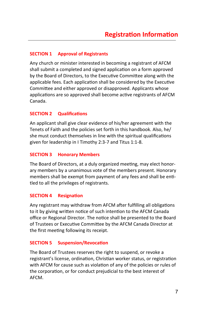#### **SECTION 1 Approval of Registrants**

Any church or minister interested in becoming a registrant of AFCM shall submit a completed and signed application on a form approved by the Board of Directors, to the Executive Committee along with the applicable fees. Each application shall be considered by the Executive Committee and either approved or disapproved. Applicants whose applications are so approved shall become active registrants of AFCM Canada.

#### **SECTION 2 Qualifications**

An applicant shall give clear evidence of his/her agreement with the Tenets of Faith and the policies set forth in this handbook. Also, he/ she must conduct themselves in line with the spiritual qualifications given for leadership in I Timothy 2:3-7 and Titus 1:1-8.

#### **SECTION 3 Honorary Members**

The Board of Directors, at a duly organized meeting, may elect honorary members by a unanimous vote of the members present. Honorary members shall be exempt from payment of any fees and shall be entitled to all the privileges of registrants.

#### **SECTION 4 Resignation**

Any registrant may withdraw from AFCM after fulfilling all obligations to it by giving written notice of such intention to the AFCM Canada office or Regional Director. The notice shall be presented to the Board of Trustees or Executive Committee by the AFCM Canada Director at the first meeting following its receipt.

#### **SECTION 5 Suspension/Revocation**

The Board of Trustees reserves the right to suspend, or revoke a registrant's license, ordination, Christian worker status, or registration with AFCM for cause such as violation of any of the policies or rules of the corporation, or for conduct prejudicial to the best interest of AFCM.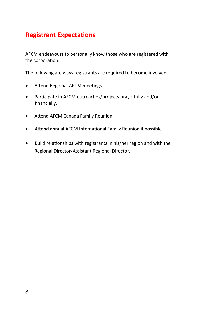# **Registrant Expectations**

AFCM endeavours to personally know those who are registered with the corporation.

The following are ways registrants are required to become involved:

- Attend Regional AFCM meetings.
- Participate in AFCM outreaches/projects prayerfully and/or financially.
- Attend AFCM Canada Family Reunion.
- Attend annual AFCM International Family Reunion if possible.
- Build relationships with registrants in his/her region and with the Regional Director/Assistant Regional Director.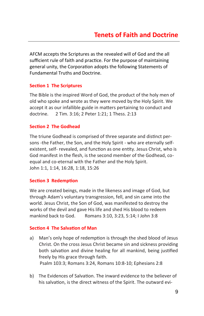AFCM accepts the Scriptures as the revealed will of God and the all sufficient rule of faith and practice. For the purpose of maintaining general unity, the Corporation adopts the following Statements of Fundamental Truths and Doctrine.

#### **Section 1 The Scriptures**

The Bible is the inspired Word of God, the product of the holy men of old who spoke and wrote as they were moved by the Holy Spirit. We accept it as our infallible guide in matters pertaining to conduct and doctrine. 2 Tim. 3:16; 2 Peter 1:21; 1 Thess. 2:13

#### **Section 2 The Godhead**

The triune Godhead is comprised of three separate and distinct persons -the Father, the Son, and the Holy Spirit - who are eternally selfexistent, self- revealed, and function as one entity. Jesus Christ, who is God manifest in the flesh, is the second member of the Godhead, coequal and co-eternal with the Father and the Holy Spirit. John 1:1, 1:14, 16:28, 1:18, 15:26

#### **Section 3 Redemption**

We are created beings, made in the likeness and image of God, but through Adam's voluntary transgression, fell, and sin came into the world. Jesus Christ, the Son of God, was manifested to destroy the works of the devil and gave His life and shed His blood to redeem mankind back to God. Romans 3:10, 3:23, 5:14; I John 3:8

#### **Section 4 The Salvation of Man**

- a) Man's only hope of redemption is through the shed blood of Jesus Christ. On the cross Jesus Christ became sin and sickness providing both salvation and divine healing for all mankind, being justified freely by His grace through faith. Psalm 103:3; Romans 3:24, Romans 10:8-10; Ephesians 2:8
- b) The Evidences of Salvation. The inward evidence to the believer of his salvation, is the direct witness of the Spirit. The outward evi-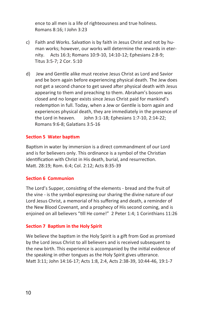ence to all men is a life of righteousness and true holiness. Romans 8:16; I John 3:23

- c) Faith and Works. Salvation is by faith in Jesus Christ and not by human works; however, our works will determine the rewards in eternity. Acts 16:3; Romans 10:9-10, 14:10-12; Ephesians 2:8-9; Titus 3:5-7; 2 Cor. 5:10
- d) Jew and Gentile alike must receive Jesus Christ as Lord and Savior and be born again before experiencing physical death. The Jew does not get a second chance to get saved after physical death with Jesus appearing to them and preaching to them. Abraham's bosom was closed and no longer exists since Jesus Christ paid for mankind's redemption in full. Today, when a Jew or Gentile is born again and experiences physical death, they are immediately in the presence of the Lord in heaven. John 3:1-18; Ephesians 1:7-10, 2:14-22; Romans 9:6-8; Galatians 3:5-16

#### **Section 5 Water baptism**

Baptism in water by immersion is a direct commandment of our Lord and is for believers only. This ordinance is a symbol of the Christian identification with Christ in His death, burial, and resurrection. Matt. 28:19; Rom. 6:4; Col. 2:12; Acts 8:35-39

#### **Section 6 Communion**

The Lord's Supper, consisting of the elements - bread and the fruit of the vine - is the symbol expressing our sharing the divine nature of our Lord Jesus Christ, a memorial of his suffering and death, a reminder of the New Blood Covenant, and a prophecy of His second coming, and is enjoined on all believers "till He come!" 2 Peter 1:4; 1 Corinthians 11:26

#### **Section 7 Baptism in the Holy Spirit**

We believe the baptism in the Holy Spirit is a gift from God as promised by the Lord Jesus Christ to all believers and is received subsequent to the new birth. This experience is accompanied by the initial evidence of the speaking in other tongues as the Holy Spirit gives utterance. Matt 3:11; John 14:16-17; Acts 1:8, 2:4, Acts 2:38-39, 10:44-46, 19:1-7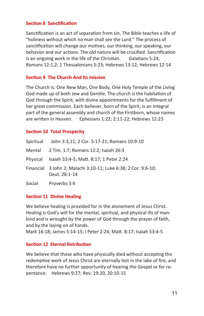#### **Section 8 Sanctification**

Sanctification is an act of separation from sin. The Bible teaches a life of "holiness without which no man shall see the Lord." The process of sanctification will change our motives, our thinking, our speaking, our behavior and our actions. The old nature will be crucified. Sanctification is an ongoing work in the life of the Christian. Galatians 5:24; Romans 12:1,2; 1 Thessalonians 5:23; Hebrews 13:12; Hebrews 12:14

#### **Section 9 The Church And Its mission**

The Church is: One New Man, One Body, One Holy Temple of the Living God made up of both Jew and Gentile. The church is the habitation of God through the Spirit, with divine appointments for the fulfillment of her great commission. Each believer, born of the Spirit, is an integral part of the general assembly and church of the Firstborn, whose names are written in Heaven. Ephesians 1:22; 2:11-22; Hebrews 12:23

#### **Section 10 Total Prosperity**

| Spiritual | John 3:3,11; 2 Cor. 5:17-21; Romans 10:9-10                                     |
|-----------|---------------------------------------------------------------------------------|
| Mental    | 2 Tim. 1:7; Romans 12:2; Isaiah 26:3                                            |
| Physical  | Isaiah 53:4-5; Matt. 8:17; 1 Peter 2:24                                         |
|           | Financial 3 John 2; Malachi 3:10-11; Luke 6:38; 2 Cor. 9:6-10;<br>Deut. 28:1-14 |
| Social    | Proverbs 3:4                                                                    |

#### **Section 11 Divine Healing**

We believe healing is provided for in the atonement of Jesus Christ. Healing is God's will for the mental, spiritual, and physical ills of mankind and is wrought by the power of God through the prayer of faith, and by the laying on of hands.

Mark 16:18; James 5:14-15; I Peter 2:24; Matt. 8:17; Isaiah 53:4-5

#### **Section 12 Eternal Retribution**

We believe that those who have physically died without accepting the redemptive work of Jesus Christ are eternally lost in the lake of fire, and therefore have no further opportunity of hearing the Gospel or for repentance. Hebrews 9:27; Rev. 19:20, 20:10-15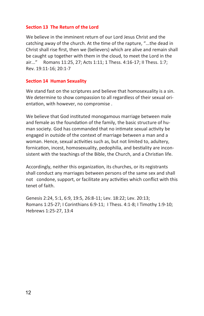#### **Section 13 The Return of the Lord**

We believe in the imminent return of our Lord Jesus Christ and the catching away of the church. At the time of the rapture, "...the dead in Christ shall rise first, then we (believers) which are alive and remain shall be caught up together with them in the cloud, to meet the Lord in the air..." Romans 11:25, 27; Acts 1:11; 1 Thess. 4:16-17; II Thess. 1:7; Rev. 19:11-16; 20:1-7

#### **Section 14 Human Sexuality**

We stand fast on the scriptures and believe that homosexuality is a sin. We determine to show compassion to all regardless of their sexual orientation, with however, no compromise .

We believe that God instituted monogamous marriage between male and female as the foundation of the family, the basic structure of human society. God has commanded that no intimate sexual activity be engaged in outside of the context of marriage between a man and a woman. Hence, sexual activities such as, but not limited to, adultery, fornication, incest, homosexuality, pedophilia, and bestiality are inconsistent with the teachings of the Bible, the Church, and a Christian life.

Accordingly, neither this organization, its churches, or its registrants shall conduct any marriages between persons of the same sex and shall not condone, support, or facilitate any activities which conflict with this tenet of faith.

Genesis 2:24, 5:1, 6:9, 19:5, 26:8-11; Lev. 18:22; Lev. 20:13; Romans 1:25-27; I Corinthians 6:9-11; I Thess. 4:1-8; I Timothy 1:9-10; Hebrews 1:25-27, 13:4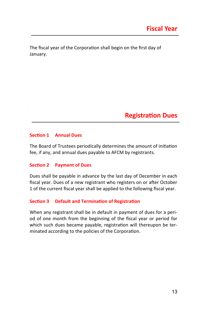The fiscal year of the Corporation shall begin on the first day of January.

# **Registration Dues**

#### **Section 1 Annual Dues**

The Board of Trustees periodically determines the amount of initiation fee, if any, and annual dues payable to AFCM by registrants.

#### **Section 2 Payment of Dues**

Dues shall be payable in advance by the last day of December in each fiscal year. Dues of a new registrant who registers on or after October 1 of the current fiscal year shall be applied to the following fiscal year.

#### **Section 3 Default and Termination of Registration**

When any registrant shall be in default in payment of dues for a period of one month from the beginning of the fiscal year or period for which such dues became payable, registration will thereupon be terminated according to the policies of the Corporation.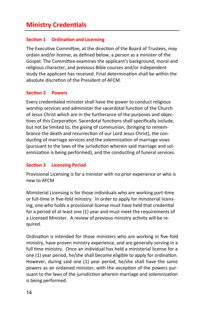# **Ministry Credentials**

#### **Section 1 Ordination and Licensing**

The Executive Committee, at the direction of the Board of Trustees, may ordain and/or license, as defined below, a person as a minister of the Gospel. The Committee examines the applicant's background, moral and religious character, and previous Bible courses and/or independent study the applicant has received. Final determination shall be within the absolute discretion of the President of AFCM.

#### **Section 2 Powers**

Every credentialed minister shall have the power to conduct religious worship services and administer the sacerdotal function of the Church of Jesus Christ which are in the furtherance of the purposes and objectives of this Corporation. Sacerdotal functions shall specifically include, but not be limited to, the giving of communion, (bringing to remembrance the death and resurrection of our Lord Jesus Christ), the conducting of marriage services and the solemnization of marriage vows (pursuant to the laws of the jurisdiction wherein said marriage and solemnization is being performed), and the conducting of funeral services.

#### **Section 3 Licensing Period**

Provisional Licensing is for a minister with no prior experience or who is new to AFCM

Ministerial Licensing is for those individuals who are working part-time or full-time in five-fold ministry. In order to apply for ministerial licensing, one who holds a provisional license must have held that credential for a period of at least one (1) year and must meet the requirements of a Licensed Minister. A review of previous ministry activity will be required.

Ordination is intended for those ministers who are working in five-fold ministry, have proven ministry experience, and are generally serving in a full time ministry. Once an individual has held a ministerial license for a one (1) year period, he/she shall become eligible to apply for ordination. However, during said one (1) year period, he/she shall have the same powers as an ordained minister, with the exception of the powers pursuant to the laws of the jurisdiction wherein marriage and solemnization is being performed.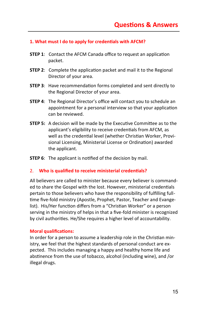#### **1. What must I do to apply for credentials with AFCM?**

- **STEP 1:** Contact the AFCM Canada office to request an application packet.
- **STEP 2:** Complete the application packet and mail it to the Regional Director of your area.
- **STEP 3**: Have recommendation forms completed and sent directly to the Regional Director of your area.
- **STEP 4:** The Regional Director's office will contact you to schedule an appointment for a personal interview so that your application can be reviewed.
- **STEP 5:** A decision will be made by the Executive Committee as to the applicant's eligibility to receive credentials from AFCM, as well as the credential level (whether Christian Worker, Provisional Licensing, Ministerial License or Ordination) awarded the applicant.

**STEP 6:** The applicant is notified of the decision by mail.

#### 2. **Who is qualified to receive ministerial credentials?**

All believers are called to minister because every believer is commanded to share the Gospel with the lost. However, ministerial credentials pertain to those believers who have the responsibility of fulfilling fulltime five-fold ministry (Apostle, Prophet, Pastor, Teacher and Evangelist). His/Her function differs from a "Christian Worker" or a person serving in the ministry of helps in that a five-fold minister is recognized by civil authorities. He/She requires a higher level of accountability.

#### **Moral qualifications:**

In order for a person to assume a leadership role in the Christian ministry, we feel that the highest standards of personal conduct are expected. This includes managing a happy and healthy home life and abstinence from the use of tobacco, alcohol (including wine), and /or illegal drugs.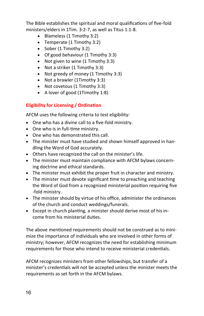The Bible establishes the spiritual and moral qualifications of five-fold ministers/elders in 1Tim. 3:2-7, as well as Titus 1:1-8.

- Blameless (1 Timothy 3:2)
- Temperate (1 Timothy 3:2)
- Sober (1 Timothy 3:2)
- Of good behaviour (1 Timothy 3:3)
- Not given to wine (1 Timothy 3:3)
- Not a striker (1 Timothy 3:3)
- Not greedy of money (1 Timothy 3:3)
- Not a brawler (1Timothy 3:3)
- Not covetous (1 Timothy 3:3)
- A lover of good (1Timothy 1:8)

#### **Eligibility for Licensing / Ordination**

AFCM uses the following criteria to test eligibility:

- One who has a divine call to a five-fold ministry.
- One who is in full-time ministry.
- One who has demonstrated this call.
- The minister must have studied and shown himself approved in handling the Word of God accurately.
- Others have recognized the call on the minister's life.
- The minister must maintain compliance with AFCM bylaws concerning doctrine and ethical standards.
- The minister must exhibit the proper fruit in character and ministry.
- The minister must devote significant time to preaching and teaching the Word of God from a recognized ministerial position requiring five -fold ministry.
- The minister should by virtue of his office, administer the ordinances of the church and conduct weddings/funerals.
- Except in church planting, a minister should derive most of his income from his ministerial duties.

The above mentioned requirements should not be construed as to minimize the importance of individuals who are involved in other forms of ministry; however, AFCM recognizes the need for establishing minimum requirements for those who intend to receive ministerial credentials.

AFCM recognizes ministers from other fellowships, but transfer of a minister's credentials will not be accepted unless the minister meets the requirements as set forth in the AFCM bylaws.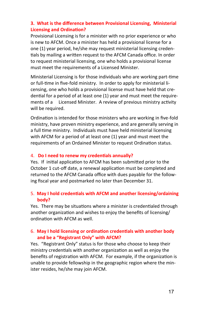#### **3. What is the difference between Provisional Licensing, Ministerial Licensing and Ordination?**

Provisional Licensing is for a minister with no prior experience or who is new to AFCM. Once a minister has held a provisional license for a one (1) year period, he/she may request ministerial licensing credentials by mailing a written request to the AFCM Canada office. In order to request ministerial licensing, one who holds a provisional license must meet the requirements of a Licensed Minister.

Ministerial Licensing is for those individuals who are working part-time or full-time in five-fold ministry. In order to apply for ministerial licensing, one who holds a provisional license must have held that credential for a period of at least one (1) year and must meet the requirements of a Licensed Minister. A review of previous ministry activity will be required.

Ordination is intended for those ministers who are working in five-fold ministry, have proven ministry experience, and are generally serving in a full time ministry. Individuals must have held ministerial licensing with AFCM for a period of at least one (1) year and must meet the requirements of an Ordained Minister to request Ordination status.

#### 4. **Do I need to renew my credentials annually?**

Yes. If initial application to AFCM has been submitted prior to the October 1 cut-off date, a renewal application must be completed and returned to the AFCM Canada office with dues payable for the following fiscal year and postmarked no later than December 31.

#### 5. **May I hold credentials with AFCM and another licensing/ordaining body?**

Yes. There may be situations where a minister is credentialed through another organization and wishes to enjoy the benefits of licensing/ ordination with AFCM as well.

#### 6. **May I hold licensing or ordination credentials with another body and be a "Registrant Only" with AFCM?**

Yes. "Registrant Only" status is for those who choose to keep their ministry credentials with another organization as well as enjoy the benefits of registration with AFCM. For example, if the organization is unable to provide fellowship in the geographic region where the minister resides, he/she may join AFCM.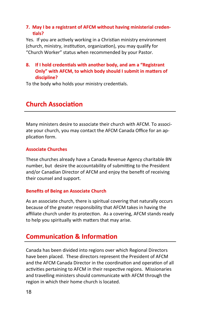#### **7. May I be a registrant of AFCM without having ministerial credentials?**

Yes. If you are actively working in a Christian ministry environment (church, ministry, institution, organization), you may qualify for "Church Worker" status when recommended by your Pastor.

#### **8. If I hold credentials with another body, and am a "Registrant Only" with AFCM, to which body should I submit in matters of discipline?**

To the body who holds your ministry credentials.

# **Church Association**

Many ministers desire to associate their church with AFCM. To associate your church, you may contact the AFCM Canada Office for an application form.

#### **Associate Churches**

These churches already have a Canada Revenue Agency charitable BN number, but desire the accountability of submitting to the President and/or Canadian Director of AFCM and enjoy the benefit of receiving their counsel and support.

#### **Benefits of Being an Associate Church**

As an associate church, there is spiritual covering that naturally occurs because of the greater responsibility that AFCM takes in having the affiliate church under its protection. As a covering, AFCM stands ready to help you spiritually with matters that may arise.

# **Communication & Information**

Canada has been divided into regions over which Regional Directors have been placed. These directors represent the President of AFCM and the AFCM Canada Director in the coordination and operation of all activities pertaining to AFCM in their respective regions. Missionaries and travelling ministers should communicate with AFCM through the region in which their home church is located.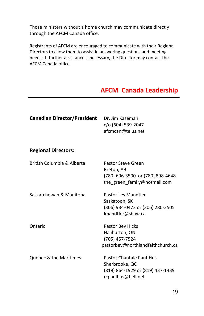through the AFCM Canada office. The meetings with meetings with meetings with  $\frac{1}{n}$ Those ministers without a home church may communicate directly

Registrants of AFCM are encouraged to communicate with their Regional Directors to allow them to assist in answering questions and meeting needs. If further assistance is necessary, the Director may contact the AFCM Canada office.

# **AFCM Canada Leadership**

| <b>Canadian Director/President</b> | Dr. Jim Kaseman<br>c/o (604) 539-2047<br>afcmcan@telus.net                                           |
|------------------------------------|------------------------------------------------------------------------------------------------------|
| <b>Regional Directors:</b>         |                                                                                                      |
| British Columbia & Alberta         | Pastor Steve Green<br>Breton, AB<br>(780) 696-3500 or (780) 898-4648<br>the green family@hotmail.com |
| Saskatchewan & Manitoba            | Pastor Les Mandtler<br>Saskatoon, SK<br>(306) 934-0472 or (306) 280-3505<br>Imandtler@shaw.ca        |
| Ontario                            | <b>Pastor Bev Hicks</b><br>Haliburton, ON<br>(705) 457-7524<br>pastorbev@northlandfaithchurch.ca     |
| <b>Ouebec &amp; the Maritimes</b>  | Pastor Chantale Paul-Hus<br>Sherbrooke, QC<br>(819) 864-1929 or (819) 437-1439<br>rcpaulhus@bell.net |